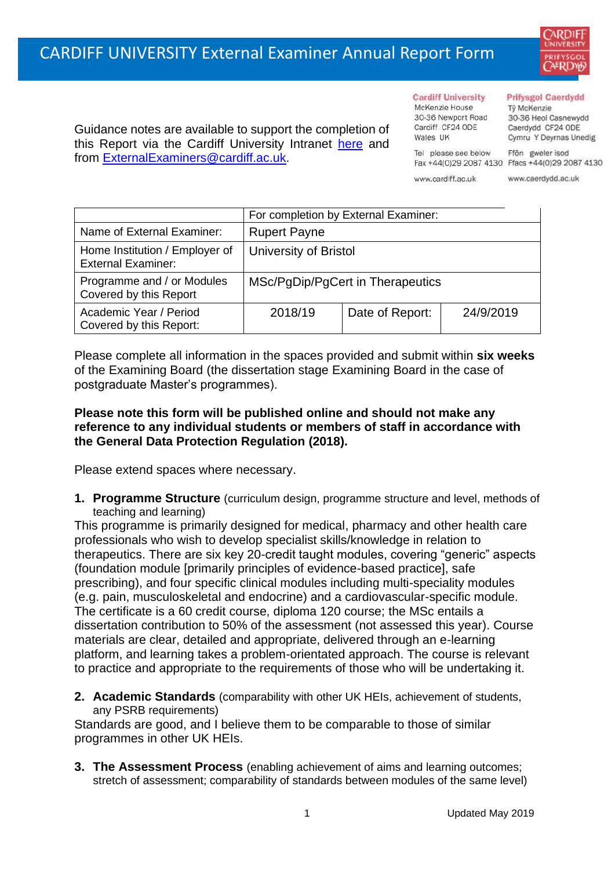# CARDIFF UNIVERSITY External Examiner Annual Report Form



Guidance notes are available to support the completion of this Report via the Cardiff University Intranet [here](https://intranet.cardiff.ac.uk/staff/teaching-and-supporting-students/exams-and-assessment/exam-boards-and-external-examiners/for-current-external-examiners/external-examiners-reports) and from [ExternalExaminers@cardiff.ac.uk.](mailto:ExternalExaminers@cardiff.ac.uk)

#### **Cardiff University**

McKenzie House 30-36 Newport Road Cardiff CF24 ODE Wales UK Tel please see below

www.cardiff.ac.uk

**Prifysgol Caerdydd** Tŷ McKenzie

30-36 Heol Casnewydd Caerdydd CF24 ODE Cymru Y Deyrnas Unedig Ffôn gweler isod

Fax +44(0)29 2087 4130 Ffacs +44(0)29 2087 4130

www.caerdydd.ac.uk

|                                                             | For completion by External Examiner: |                 |           |  |  |
|-------------------------------------------------------------|--------------------------------------|-----------------|-----------|--|--|
| Name of External Examiner:                                  | <b>Rupert Payne</b>                  |                 |           |  |  |
| Home Institution / Employer of<br><b>External Examiner:</b> | University of Bristol                |                 |           |  |  |
| Programme and / or Modules<br>Covered by this Report        | MSc/PgDip/PgCert in Therapeutics     |                 |           |  |  |
| Academic Year / Period<br>Covered by this Report:           | 2018/19                              | Date of Report: | 24/9/2019 |  |  |

Please complete all information in the spaces provided and submit within **six weeks** of the Examining Board (the dissertation stage Examining Board in the case of postgraduate Master's programmes).

#### **Please note this form will be published online and should not make any reference to any individual students or members of staff in accordance with the General Data Protection Regulation (2018).**

Please extend spaces where necessary.

**1. Programme Structure** (curriculum design, programme structure and level, methods of teaching and learning)

This programme is primarily designed for medical, pharmacy and other health care professionals who wish to develop specialist skills/knowledge in relation to therapeutics. There are six key 20-credit taught modules, covering "generic" aspects (foundation module [primarily principles of evidence-based practice], safe prescribing), and four specific clinical modules including multi-speciality modules (e.g. pain, musculoskeletal and endocrine) and a cardiovascular-specific module. The certificate is a 60 credit course, diploma 120 course; the MSc entails a dissertation contribution to 50% of the assessment (not assessed this year). Course materials are clear, detailed and appropriate, delivered through an e-learning platform, and learning takes a problem-orientated approach. The course is relevant to practice and appropriate to the requirements of those who will be undertaking it.

**2. Academic Standards** (comparability with other UK HEIs, achievement of students, any PSRB requirements)

Standards are good, and I believe them to be comparable to those of similar programmes in other UK HEIs.

**3. The Assessment Process** (enabling achievement of aims and learning outcomes; stretch of assessment; comparability of standards between modules of the same level)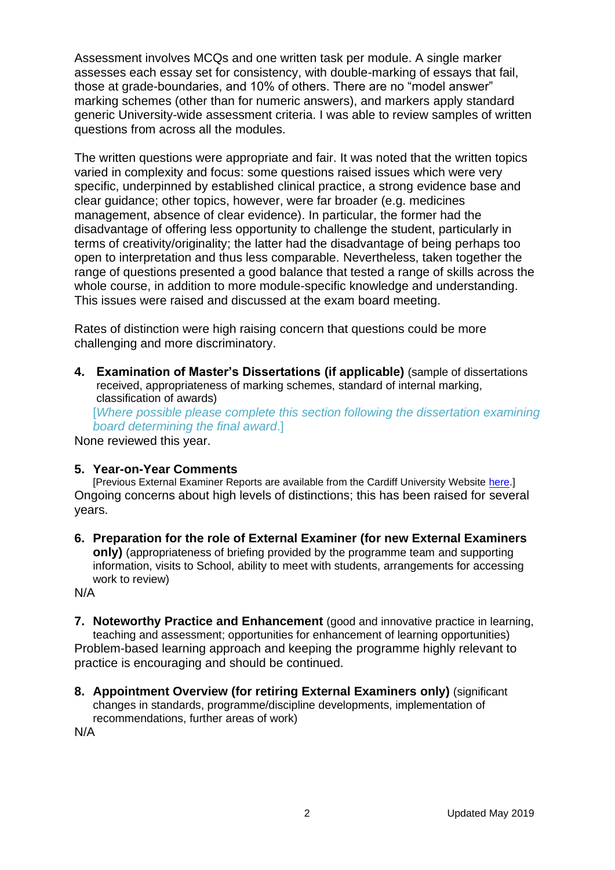Assessment involves MCQs and one written task per module. A single marker assesses each essay set for consistency, with double-marking of essays that fail, those at grade-boundaries, and 10% of others. There are no "model answer" marking schemes (other than for numeric answers), and markers apply standard generic University-wide assessment criteria. I was able to review samples of written questions from across all the modules.

The written questions were appropriate and fair. It was noted that the written topics varied in complexity and focus: some questions raised issues which were very specific, underpinned by established clinical practice, a strong evidence base and clear guidance; other topics, however, were far broader (e.g. medicines management, absence of clear evidence). In particular, the former had the disadvantage of offering less opportunity to challenge the student, particularly in terms of creativity/originality; the latter had the disadvantage of being perhaps too open to interpretation and thus less comparable. Nevertheless, taken together the range of questions presented a good balance that tested a range of skills across the whole course, in addition to more module-specific knowledge and understanding. This issues were raised and discussed at the exam board meeting.

Rates of distinction were high raising concern that questions could be more challenging and more discriminatory.

**4. Examination of Master's Dissertations (if applicable)** (sample of dissertations received, appropriateness of marking schemes, standard of internal marking, classification of awards)

[*Where possible please complete this section following the dissertation examining board determining the final award*.]

None reviewed this year.

### **5. Year-on-Year Comments**

[Previous External Examiner Reports are available from the Cardiff University Website [here.](https://www.cardiff.ac.uk/public-information/quality-and-standards/external-examiner-reports)] Ongoing concerns about high levels of distinctions; this has been raised for several years.

**6. Preparation for the role of External Examiner (for new External Examiners only)** (appropriateness of briefing provided by the programme team and supporting information, visits to School, ability to meet with students, arrangements for accessing work to review)

N/A

- **7. Noteworthy Practice and Enhancement** (good and innovative practice in learning, teaching and assessment; opportunities for enhancement of learning opportunities) Problem-based learning approach and keeping the programme highly relevant to practice is encouraging and should be continued.
- **8. Appointment Overview (for retiring External Examiners only)** (significant changes in standards, programme/discipline developments, implementation of recommendations, further areas of work)

N/A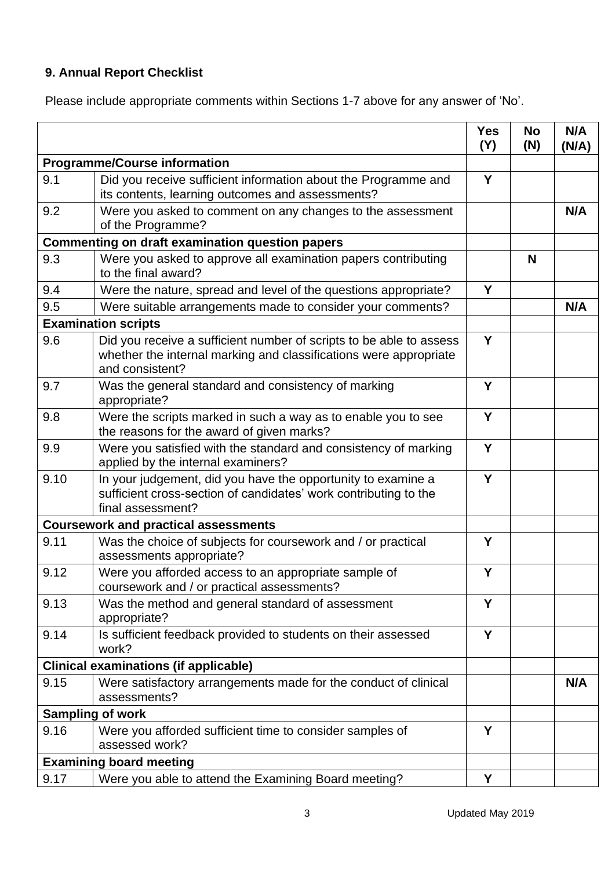## **9. Annual Report Checklist**

Please include appropriate comments within Sections 1-7 above for any answer of 'No'.

|                                                        |                                                                                                                                                             | <b>Yes</b><br>(Y) | <b>No</b><br>(N) | N/A<br>(N/A) |
|--------------------------------------------------------|-------------------------------------------------------------------------------------------------------------------------------------------------------------|-------------------|------------------|--------------|
| <b>Programme/Course information</b>                    |                                                                                                                                                             |                   |                  |              |
| 9.1                                                    | Did you receive sufficient information about the Programme and<br>its contents, learning outcomes and assessments?                                          | Y                 |                  |              |
| 9.2                                                    | Were you asked to comment on any changes to the assessment<br>of the Programme?                                                                             |                   |                  | N/A          |
| <b>Commenting on draft examination question papers</b> |                                                                                                                                                             |                   |                  |              |
| 9.3                                                    | Were you asked to approve all examination papers contributing<br>to the final award?                                                                        |                   | N                |              |
| 9.4                                                    | Were the nature, spread and level of the questions appropriate?                                                                                             | Y                 |                  |              |
| 9.5                                                    | Were suitable arrangements made to consider your comments?                                                                                                  |                   |                  | N/A          |
|                                                        | <b>Examination scripts</b>                                                                                                                                  |                   |                  |              |
| 9.6                                                    | Did you receive a sufficient number of scripts to be able to assess<br>whether the internal marking and classifications were appropriate<br>and consistent? | Y                 |                  |              |
| 9.7                                                    | Was the general standard and consistency of marking<br>appropriate?                                                                                         | Y                 |                  |              |
| 9.8                                                    | Were the scripts marked in such a way as to enable you to see<br>the reasons for the award of given marks?                                                  | Y                 |                  |              |
| 9.9                                                    | Were you satisfied with the standard and consistency of marking<br>applied by the internal examiners?                                                       | Y                 |                  |              |
| 9.10                                                   | In your judgement, did you have the opportunity to examine a<br>sufficient cross-section of candidates' work contributing to the<br>final assessment?       | Y                 |                  |              |
| <b>Coursework and practical assessments</b>            |                                                                                                                                                             |                   |                  |              |
| 9.11                                                   | Was the choice of subjects for coursework and / or practical<br>assessments appropriate?                                                                    | Y                 |                  |              |
| 9.12                                                   | Were you afforded access to an appropriate sample of<br>coursework and / or practical assessments?                                                          | Υ                 |                  |              |
| 9.13                                                   | Was the method and general standard of assessment<br>appropriate?                                                                                           | Y                 |                  |              |
| 9.14                                                   | Is sufficient feedback provided to students on their assessed<br>work?                                                                                      | Y                 |                  |              |
| <b>Clinical examinations (if applicable)</b>           |                                                                                                                                                             |                   |                  |              |
| 9.15                                                   | Were satisfactory arrangements made for the conduct of clinical<br>assessments?                                                                             |                   |                  | N/A          |
| <b>Sampling of work</b>                                |                                                                                                                                                             |                   |                  |              |
| 9.16                                                   | Were you afforded sufficient time to consider samples of<br>assessed work?                                                                                  | Y                 |                  |              |
| <b>Examining board meeting</b>                         |                                                                                                                                                             |                   |                  |              |
| 9.17                                                   | Were you able to attend the Examining Board meeting?                                                                                                        | Y                 |                  |              |